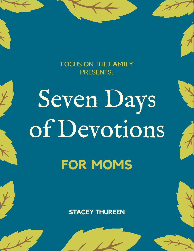#### FOCUS ON THE FAMILY PRESENTS:

# Seven Days of Devotions **FOR MOMS**

**STACEY THUREEN**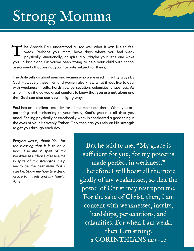### Strong Momma

he Apostle Paul understood all too well what it was like to feel weak. Perhaps you, Mom, have days where you feel weak physically, emotionally, or spiritually. Maybe your little one woke you up last night. Or you've been trying to help your child with school assignments that are not your favorite subject (or theirs). T

The Bible tells us about men and women who were used in mighty ways by God. However, these men and women also knew what it was like to deal with weakness, insults, hardships, persecution, calamities, chaos, etc. As a mom, may it give you great comfort to know that **you are not alone** and that **God can also use you** in mighty ways.

Paul has an excellent reminder for all the moms out there. When you are parenting and ministering to your family, **God's grace is all that you need**. Feeling physically or emotionally weak is considered a good thing in the eyes of your Heavenly Father. Only then can you rely on His strength to get you through each day.

*Prayer: Jesus, thank You for the blessing that it is to be a mom. Use me in spite of my weaknesses. Please also use me in spite of my strengths. Help me to be the best mom that I can be. Show me how to extend grace to myself and my family. Amen.*

But he said to me, "My grace is sufficient for you, for my power is made perfect in weakness." Therefore I will boast all the more gladly of my weaknesses, so that the power of Christ may rest upon me. For the sake of Christ, then, I am content with weaknesses, insults, hardships, persecutions, and calamities. For when I am weak, then I am strong. 2 CORINTHIANS 12:9-10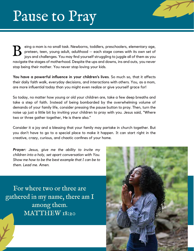#### Pause to Pray



eing a mom is no small task. Newborns, toddlers, preschoolers, elementary age, preteen, teen, young adult, adulthood — each stage comes with its own set of joys and challenges. You may find yourself struggling to juggle all of them as you navigate the stages of motherhood. Despite the ups and downs, ins and outs, you never stop being their mother. You never stop loving your kids. B

**You have a powerful influence in your children's lives**. So much so, that it affects their daily faith walk, everyday decisions, and interactions with others. You, as a mom, are more influential today than you might even realize or give yourself grace for!

So today, no matter how young or old your children are, take a few deep breaths and take a step of faith. Instead of being bombarded by the overwhelming volume of demands of your family life, consider pressing the pause button to pray. Then, turn the noise up just a little bit by inviting your children to pray with you. Jesus said, "Where two or three gather together, He is there also."

Consider it a joy and a blessing that your family may partake in church together. But you don't have to go to a special place to make it happen. It can start right in the creative, crazy, curious, and chaotic confines of your home.

*Prayer: Jesus, give me the ability to invite my children into a holy, set apart conversation with You. Show me how to be the best example that I can be to them. Lead me. Amen.*

For where two or three are gathered in my name, there am I among them. MATTHEW 18:20

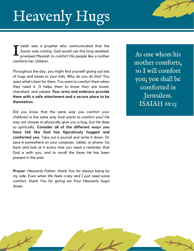# Heavenly Hugs

saiah was a prophet who communicated that the Savior was coming. God would use this long-awaited, promised Messiah to comfort His people like a mother comforts her children. I

Throughout the day, you might find yourself giving out lots of hugs and kisses to your kids. Why do you do this? You want what's best for them. You want to comfort them when they need it. It helps them to know they are loved, cherished, and valued. **Your arms and embrace provide them with a safe attachment and a secure place to be themselves.**

Did you know that the same way you comfort your child(ren) is the same way God wants to comfort you? He may not choose to physically give you a hug, but He does so spiritually. **Consider all of the different ways you have felt like God has figuratively hugged and comforted you.** Take out a journal and write it down. Or save it somewhere on your computer, tablet, or phone. Go back and look at it every time you need a reminder that God is with you, and to recall the times He has been present in the past.

*Prayer: Heavenly Father, thank You for always being by my side. Even when life feels crazy and I just need some comfort, thank You for giving me Your Heavenly hugs! Amen.*

 $\mu$ 

As one whom his mother comforts, so I will comfort you; you shall be comforted in Jerusalem. ISAIAH 66:13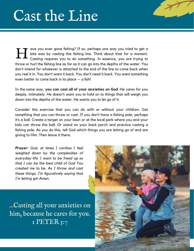ave you ever gone fishing? If so, perhaps one way you tried to get a bite was by casting the fishing line. Think about that for a moment. Casting requires you to do something. In essence, you are trying to throw or hurl the fishing line as far as it can go into the depths of the water. You don't intend for whatever is attached to the end of the line to come back when you reel it in. You don't want it back. You don't need it back. You want something even better to come back in its place  $-$  a fish! H

In the same way, **you can cast all of your anxieties on God**. He cares for you deeply, intimately. He doesn't want you to hold on to things that will weigh you down into the depths of the water. He wants you to let go of it.

Consider this exercise that you can do with or without your children. Get something that you can throw or cast. If you don't have a fishing pole, perhaps it's a ball. Create a target on your lawn or at the local park where you and your kids can throw the ball. Or stand on your back porch and practice casting a fishing pole. As you do this, tell God which things you are letting go of and are giving to Him. Then leave it there.

*Prayer: God, at times I confess I feel weighed down by the complexities of everyday life. I want to be freed up so that I can be the best child of God You created me to be. As I throw and cast these things, I'm figuratively saying that I'm letting go! Amen.*

...Casting all your anxieties on him, because he cares for you. I PETER 5:7

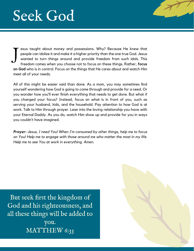#### Seek God



esus taught about money and possessions. Why? Because He knew that people can idolize it and make it a higher priority than the one true God. Jesus wanted to turn things around and provide freedom from such idols. This freedom comes when you choose not to focus on these things. Rather, **focus on God** who is in control. Focus on the things that He cares about and watch Him meet all of your needs. J

All of this might be easier said than done. As a mom, you may sometimes find yourself wondering how God is going to come through and provide for a need. Or you wonder how you'll ever finish everything that needs to get done. But what if you changed your focus? Instead, focus on what is in front of you, such as serving your husband, kids, and the household. Pay attention to how God is at work. Talk to Him through prayer. Lean into the loving relationship you have with your Eternal Daddy. As you do, watch Him show up and provide for you in ways you couldn't have imagined.

*Prayer: Jesus, I need You! When I'm consumed by other things, help me to focus on You! Help me to engage with those around me who matter the most in my life. Help me to see You at work in everything. Amen.*

But seek first the kingdom of God and his righteousness, and all these things will be added to you. MATTHEW 6:33

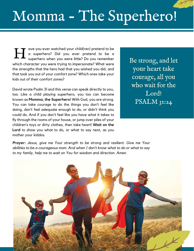# Momma - The Superhero!

ave you ever watched your child(ren) pretend to be a superhero? Did you ever pretend to be a superhero when you were little? Do you remember which character you were trying to impersonate? What were the strengths that the hero had that you wished you did, and that took you out of your comfort zone? Which ones take your kids out of their comfort zones? H

David wrote Psalm 31 and this verse can speak directly to you, too. Like a child playing superhero, you too can become known as **Momma, the Superhero**! With God, you are strong. You can take courage to do the things you don't feel like doing, don't feel adequate enough to do, or didn't think you could do. And if you don't feel like you have what it takes to fly through the rooms of your house, or jump over piles of your children's toys or dirty clothes, then take heart! **Wait on the Lord** to show you what to do, or what to say next, as you mother your kiddos.

Be strong, and let your heart take courage, all you who wait for the Lord! PSALM 31:24

*Prayer: Jesus, give me Your strength to be strong and resilient. Give me Your abilities to be a courageous mom. And when I don't know what to do or what to say to my family, help me to wait on You for wisdom and direction. Amen.*

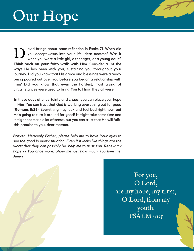### Our Hope

avid brings about some reflection in Psalm 71. When did you accept Jesus into your life, dear momma? Was it when you were a little girl, a teenager, or a young adult? **Think back on your faith walk with Him.** Consider all of the ways He has been with you, sustaining you throughout your journey. Did you know that His grace and blessings were already being poured out over you before you began a relationship with Him? Did you know that even the hardest, most trying of circumstances were used to bring You to Him? They all were! D

In these days of uncertainty and chaos, you can place your hope in Him. You can trust that God is working everything out for good (**Romans 8:28**). Everything may look and feel bad right now, but He's going to turn it around for good! It might take some time and it might not make a lot of sense, but you can trust that He will fulfill this promise to you, dear momma.

*Prayer: Heavenly Father, please help me to have Your eyes to see the good in every situation. Even if it looks like things are the worst that they can possibly be, help me to trust You. Renew my hope in You once more. Show me just how much You love me! Amen.* 



For you, O Lord, are my hope, my trust, O Lord, from my youth. PSALM 71:5